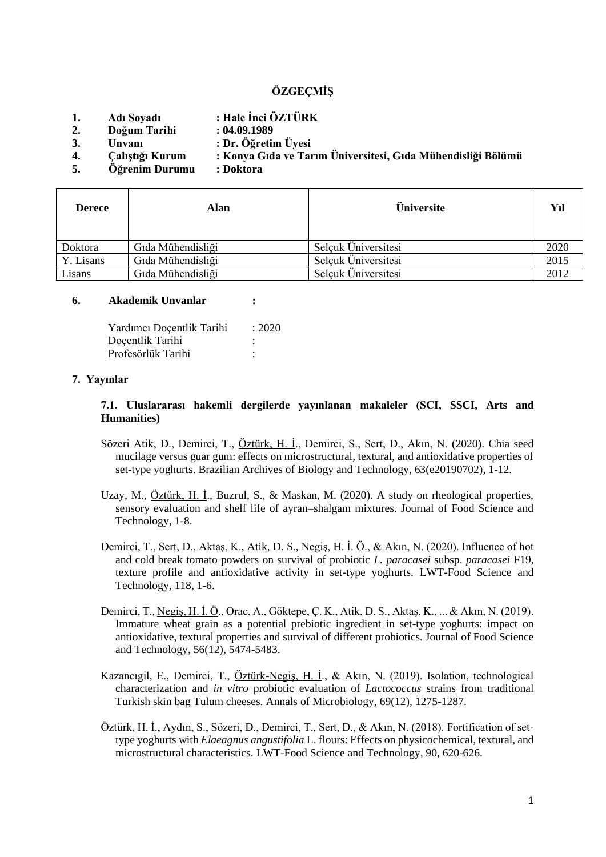# **ÖZGEÇMİŞ**

- **1. Adı Soyadı : Hale İnci ÖZTÜRK**
- **2. Doğum Tarihi : 04.09.1989**
- **3. Unvanı : Dr. Öğretim Üyesi**
- **4. Çalıştığı Kurum : Konya Gıda ve Tarım Üniversitesi, Gıda Mühendisliği Bölümü**
- **5. Öğrenim Durumu : Doktora**

| <b>Derece</b> | Alan              | <b>Üniversite</b>   | Yıl  |
|---------------|-------------------|---------------------|------|
| Doktora       | Gıda Mühendisliği | Selçuk Üniversitesi | 2020 |
| Y. Lisans     | Gıda Mühendisliği | Selcuk Üniversitesi | 2015 |
| Lisans        | Gıda Mühendisliği | Selcuk Üniversitesi | 2012 |

#### **6. Akademik Unvanlar :**

| Yardımcı Doçentlik Tarihi | : 2020 |
|---------------------------|--------|
| Doçentlik Tarihi          |        |
| Profesörlük Tarihi        | ٠      |

#### **7. Yayınlar**

#### **7.1. Uluslararası hakemli dergilerde yayınlanan makaleler (SCI, SSCI, Arts and Humanities)**

- Sözeri Atik, D., Demirci, T., Öztürk, H. İ., Demirci, S., Sert, D., Akın, N. (2020). Chia seed mucilage versus guar gum: effects on microstructural, textural, and antioxidative properties of set-type yoghurts. Brazilian Archives of Biology and Technology, 63(e20190702), 1-12.
- Uzay, M., Öztürk, H. İ., Buzrul, S., & Maskan, M. (2020). A study on rheological properties, sensory evaluation and shelf life of ayran–shalgam mixtures. Journal of Food Science and Technology, 1-8.
- Demirci, T., Sert, D., Aktaş, K., Atik, D. S., Negiş, H. İ. Ö., & Akın, N. (2020). Influence of hot and cold break tomato powders on survival of probiotic *L. paracasei* subsp. *paracasei* F19, texture profile and antioxidative activity in set-type yoghurts. LWT-Food Science and Technology, 118, 1-6.
- Demirci, T., Negiş, H. İ. Ö., Orac, A., Göktepe, Ç. K., Atik, D. S., Aktaş, K., ... & Akın, N. (2019). Immature wheat grain as a potential prebiotic ingredient in set-type yoghurts: impact on antioxidative, textural properties and survival of different probiotics. Journal of Food Science and Technology, 56(12), 5474-5483.
- Kazancıgil, E., Demirci, T., Öztürk-Negiş, H. İ., & Akın, N. (2019). Isolation, technological characterization and *in vitro* probiotic evaluation of *Lactococcus* strains from traditional Turkish skin bag Tulum cheeses. Annals of Microbiology, 69(12), 1275-1287.
- Öztürk, H. İ., Aydın, S., Sözeri, D., Demirci, T., Sert, D., & Akın, N. (2018). Fortification of settype yoghurts with *Elaeagnus angustifolia* L. flours: Effects on physicochemical, textural, and microstructural characteristics. LWT-Food Science and Technology, 90, 620-626.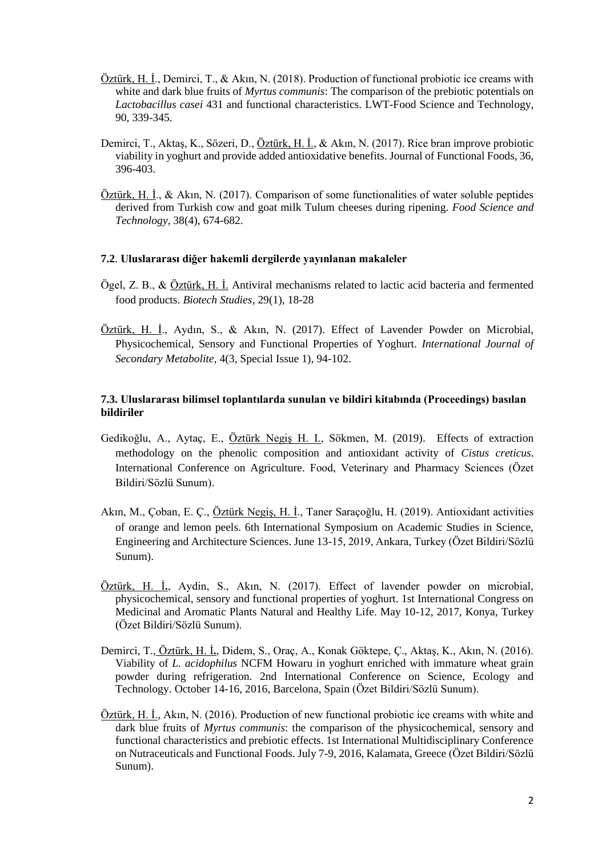- Öztürk, H. İ., Demirci, T., & Akın, N. (2018). Production of functional probiotic ice creams with white and dark blue fruits of *Myrtus communis*: The comparison of the prebiotic potentials on *Lactobacillus casei* 431 and functional characteristics. LWT-Food Science and Technology, 90, 339-345.
- Demirci, T., Aktaş, K., Sözeri, D., Öztürk, H. İ., & Akın, N. (2017). Rice bran improve probiotic viability in yoghurt and provide added antioxidative benefits. Journal of Functional Foods, 36, 396-403.
- Öztürk, H. İ., & Akın, N. (2017). Comparison of some functionalities of water soluble peptides derived from Turkish cow and goat milk Tulum cheeses during ripening. *Food Science and Technology*, 38(4), 674-682.

#### **7.2**. **Uluslararası diğer hakemli dergilerde yayınlanan makaleler**

- Ögel, Z. B., & Öztürk, H. İ. Antiviral mechanisms related to lactic acid bacteria and fermented food products. *Biotech Studies*, 29(1), 18-28
- Öztürk, H. İ., Aydın, S., & Akın, N. (2017). Effect of Lavender Powder on Microbial, Physicochemical, Sensory and Functional Properties of Yoghurt. *International Journal of Secondary Metabolite*, 4(3, Special Issue 1), 94-102.

## **7.3. Uluslararası bilimsel toplantılarda sunulan ve bildiri kitabında (Proceedings) basılan bildiriler**

- Gedikoğlu, A., Aytaç, E., Öztürk Negiş H. I., Sökmen, M. (2019). Effects of extraction methodology on the phenolic composition and antioxidant activity of *Cistus creticus*. International Conference on Agriculture. Food, Veterinary and Pharmacy Sciences (Özet Bildiri/Sözlü Sunum).
- Akın, M., Çoban, E. Ç., Öztürk Negiş, H. İ., Taner Saraçoğlu, H. (2019). Antioxidant activities of orange and lemon peels. 6th International Symposium on Academic Studies in Science, Engineering and Architecture Sciences. June 13-15, 2019, Ankara, Turkey (Özet Bildiri/Sözlü Sunum).
- Öztürk, H. İ**.**, Aydin, S., Akın, N. (2017). Effect of lavender powder on microbial, physicochemical, sensory and functional properties of yoghurt. 1st International Congress on Medicinal and Aromatic Plants Natural and Healthy Life. May 10-12, 2017, Konya, Turkey (Özet Bildiri/Sözlü Sunum).
- Demirci, T., Öztürk, H. İ**.**, Didem, S., Oraç, A., Konak Göktepe, Ç., Aktaş, K., Akın, N. (2016). Viability of *L. acidophilus* NCFM Howaru in yoghurt enriched with immature wheat grain powder during refrigeration. 2nd International Conference on Science, Ecology and Technology. October 14-16, 2016, Barcelona, Spain (Özet Bildiri/Sözlü Sunum).
- Öztürk, H. İ., Akın, N. (2016). Production of new functional probiotic ice creams with white and dark blue fruits of *Myrtus communis*: the comparison of the physicochemical, sensory and functional characteristics and prebiotic effects. 1st International Multidisciplinary Conference on Nutraceuticals and Functional Foods. July 7-9, 2016, Kalamata, Greece (Özet Bildiri/Sözlü Sunum).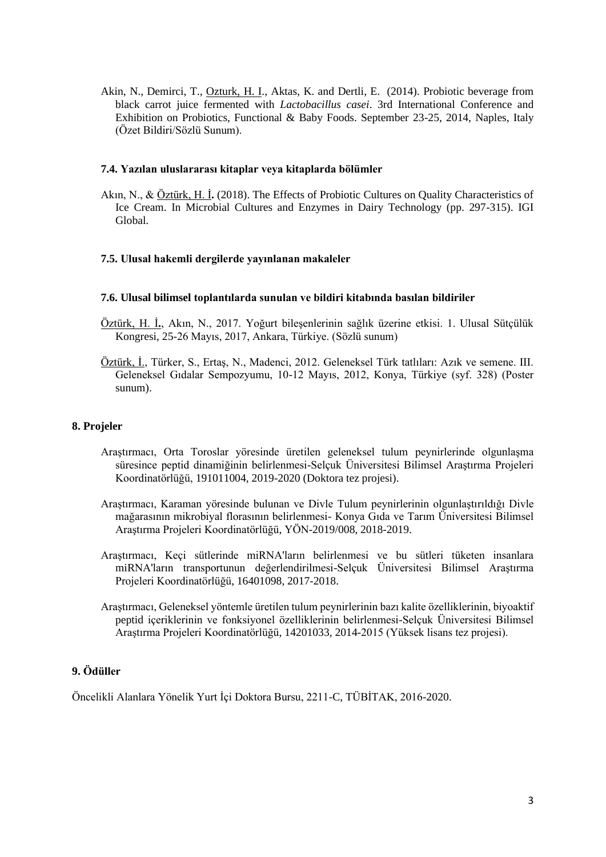Akin, N., Demirci, T., Ozturk, H. I., Aktas, K. and Dertli, E. (2014). Probiotic beverage from black carrot juice fermented with *Lactobacillus casei*. 3rd International Conference and Exhibition on Probiotics, Functional & Baby Foods. September 23-25, 2014, Naples, Italy (Özet Bildiri/Sözlü Sunum).

## **7.4. Yazılan uluslararası kitaplar veya kitaplarda bölümler**

Akın, N., & Öztürk, H. İ**.** (2018). The Effects of Probiotic Cultures on Quality Characteristics of Ice Cream. In Microbial Cultures and Enzymes in Dairy Technology (pp. 297-315). IGI Global.

## **7.5. Ulusal hakemli dergilerde yayınlanan makaleler**

#### **7.6. Ulusal bilimsel toplantılarda sunulan ve bildiri kitabında basılan bildiriler**

- Öztürk, H. İ**.**, Akın, N., 2017. Yoğurt bileşenlerinin sağlık üzerine etkisi. 1. Ulusal Sütçülük Kongresi, 25-26 Mayıs, 2017, Ankara, Türkiye. (Sözlü sunum)
- Öztürk, İ., Türker, S., Ertaş, N., Madenci, 2012. Geleneksel Türk tatlıları: Azık ve semene. III. Geleneksel Gıdalar Sempozyumu, 10-12 Mayıs, 2012, Konya, Türkiye (syf. 328) (Poster sunum).

#### **8. Projeler**

- Araştırmacı, Orta Toroslar yöresinde üretilen geleneksel tulum peynirlerinde olgunlaşma süresince peptid dinamiğinin belirlenmesi-Selçuk Üniversitesi Bilimsel Araştırma Projeleri Koordinatörlüğü, 191011004, 2019-2020 (Doktora tez projesi).
- Araştırmacı, Karaman yöresinde bulunan ve Divle Tulum peynirlerinin olgunlaştırıldığı Divle mağarasının mikrobiyal florasının belirlenmesi- Konya Gıda ve Tarım Üniversitesi Bilimsel Araştırma Projeleri Koordinatörlüğü, YÖN-2019/008, 2018-2019.
- Araştırmacı, Keçi sütlerinde miRNA'ların belirlenmesi ve bu sütleri tüketen insanlara miRNA'ların transportunun değerlendirilmesi-Selçuk Üniversitesi Bilimsel Araştırma Projeleri Koordinatörlüğü, 16401098, 2017-2018.
- Araştırmacı, Geleneksel yöntemle üretilen tulum peynirlerinin bazı kalite özelliklerinin, biyoaktif peptid içeriklerinin ve fonksiyonel özelliklerinin belirlenmesi-Selçuk Üniversitesi Bilimsel Araştırma Projeleri Koordinatörlüğü, 14201033, 2014-2015 (Yüksek lisans tez projesi).

# **9. Ödüller**

Öncelikli Alanlara Yönelik Yurt İçi Doktora Bursu, 2211-C, TÜBİTAK, 2016-2020.